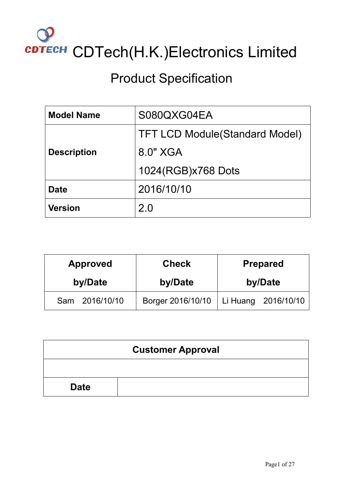

# Product Specification

| <b>Model Name</b>  | S080QXG04EA                            |
|--------------------|----------------------------------------|
|                    | <b>TFT LCD Module (Standard Model)</b> |
| <b>Description</b> | 8.0" XGA                               |
|                    | 1024(RGB)x768 Dots                     |
| <b>Date</b>        | 2016/10/10                             |
| <b>Version</b>     | 2.0                                    |

| <b>Approved</b>   | <b>Check</b>      | <b>Prepared</b>     |  |
|-------------------|-------------------|---------------------|--|
| by/Date           | by/Date           | by/Date             |  |
| 2016/10/10<br>Sam | Borger 2016/10/10 | Li Huang 2016/10/10 |  |

| <b>Customer Approval</b> |  |  |  |  |  |  |  |
|--------------------------|--|--|--|--|--|--|--|
|                          |  |  |  |  |  |  |  |
| <b>Date</b>              |  |  |  |  |  |  |  |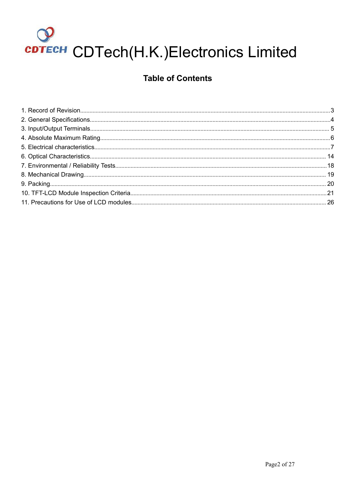# сртесн CDTech(H.K.)Electronics Limited

## **Table of Contents**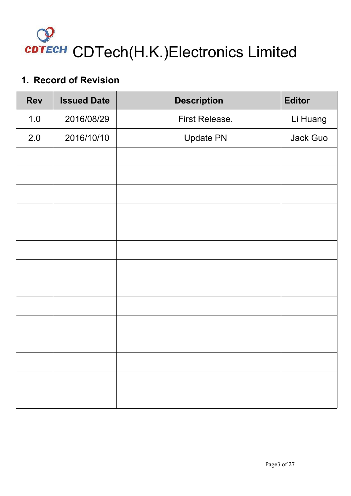

## <span id="page-2-0"></span>**1. Record of Revision**

| <b>Rev</b> | <b>Issued Date</b> | <b>Description</b> | <b>Editor</b> |
|------------|--------------------|--------------------|---------------|
| 1.0        | 2016/08/29         | First Release.     | Li Huang      |
| 2.0        | 2016/10/10         | <b>Update PN</b>   | Jack Guo      |
|            |                    |                    |               |
|            |                    |                    |               |
|            |                    |                    |               |
|            |                    |                    |               |
|            |                    |                    |               |
|            |                    |                    |               |
|            |                    |                    |               |
|            |                    |                    |               |
|            |                    |                    |               |
|            |                    |                    |               |
|            |                    |                    |               |
|            |                    |                    |               |
|            |                    |                    |               |
|            |                    |                    |               |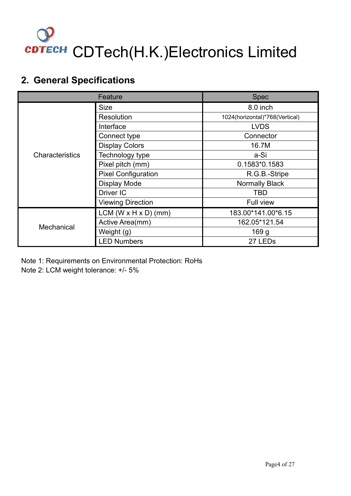

## <span id="page-3-0"></span>**2. General Specifications**

|                   | Feature                            | <b>Spec</b>                    |  |
|-------------------|------------------------------------|--------------------------------|--|
|                   | <b>Size</b>                        | 8.0 inch                       |  |
|                   | <b>Resolution</b>                  | 1024(horizontal)*768(Vertical) |  |
|                   | Interface                          | <b>LVDS</b>                    |  |
|                   | Connect type                       | Connector                      |  |
|                   | <b>Display Colors</b>              | 16.7M                          |  |
| Characteristics   | Technology type                    | a-Si                           |  |
|                   | Pixel pitch (mm)                   | 0.1583*0.1583                  |  |
|                   | <b>Pixel Configuration</b>         | R.G.B.-Stripe                  |  |
|                   | <b>Display Mode</b>                | Normally Black                 |  |
|                   | Driver IC                          | <b>TBD</b>                     |  |
|                   | <b>Viewing Direction</b>           | Full view                      |  |
|                   | LCM ( $W \times H \times D$ ) (mm) | 183.00*141.00*6.15             |  |
|                   | Active Area(mm)                    | 162.05*121.54                  |  |
| <b>Mechanical</b> | Weight (g)                         | 169 <sub>g</sub>               |  |
|                   | <b>LED Numbers</b>                 | 27 LED <sub>s</sub>            |  |

Note 1: Requirements on Environmental Protection: RoHs Note 2: LCM weight tolerance: +/- 5%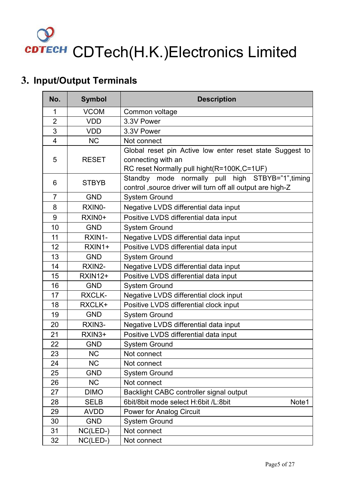# <span id="page-4-0"></span>**3. Input/Output Terminals**

| No.                     | <b>Symbol</b>  | <b>Description</b>                                                                                                           |
|-------------------------|----------------|------------------------------------------------------------------------------------------------------------------------------|
| 1                       | <b>VCOM</b>    | Common voltage                                                                                                               |
| $\overline{2}$          | <b>VDD</b>     | 3.3V Power                                                                                                                   |
| 3                       | <b>VDD</b>     | 3.3V Power                                                                                                                   |
| $\overline{\mathbf{4}}$ | <b>NC</b>      | Not connect                                                                                                                  |
| 5                       | <b>RESET</b>   | Global reset pin Active low enter reset state Suggest to<br>connecting with an<br>RC reset Normally pull hight(R=100K,C=1UF) |
| 6                       | <b>STBYB</b>   | Standby mode normally pull high STBYB="1", timing<br>control , source driver will turn off all output are high-Z             |
| $\overline{7}$          | <b>GND</b>     | <b>System Ground</b>                                                                                                         |
| 8                       | RXIN0-         | Negative LVDS differential data input                                                                                        |
| 9                       | RXIN0+         | Positive LVDS differential data input                                                                                        |
| 10                      | <b>GND</b>     | <b>System Ground</b>                                                                                                         |
| 11                      | RXIN1-         | Negative LVDS differential data input                                                                                        |
| 12                      | RXIN1+         | Positive LVDS differential data input                                                                                        |
| 13                      | <b>GND</b>     | <b>System Ground</b>                                                                                                         |
| 14                      | RXIN2-         | Negative LVDS differential data input                                                                                        |
| 15                      | <b>RXIN12+</b> | Positive LVDS differential data input                                                                                        |
| 16                      | <b>GND</b>     | <b>System Ground</b>                                                                                                         |
| 17                      | <b>RXCLK-</b>  | Negative LVDS differential clock input                                                                                       |
| 18                      | RXCLK+         | Positive LVDS differential clock input                                                                                       |
| 19                      | <b>GND</b>     | <b>System Ground</b>                                                                                                         |
| 20                      | RXIN3-         | Negative LVDS differential data input                                                                                        |
| 21                      | RXIN3+         | Positive LVDS differential data input                                                                                        |
| 22                      | <b>GND</b>     | <b>System Ground</b>                                                                                                         |
| 23                      | <b>NC</b>      | Not connect                                                                                                                  |
| 24                      | <b>NC</b>      | Not connect                                                                                                                  |
| 25                      | <b>GND</b>     | <b>System Ground</b>                                                                                                         |
| 26                      | NC             | Not connect                                                                                                                  |
| 27                      | <b>DIMO</b>    | Backlight CABC controller signal output                                                                                      |
| 28                      | <b>SELB</b>    | 6bit/8bit mode select H:6bit /L:8bit<br>Note1                                                                                |
| 29                      | <b>AVDD</b>    | <b>Power for Analog Circuit</b>                                                                                              |
| 30                      | <b>GND</b>     | System Ground                                                                                                                |
| 31                      | NC(LED-)       | Not connect                                                                                                                  |
| 32                      | $NC(LED-)$     | Not connect                                                                                                                  |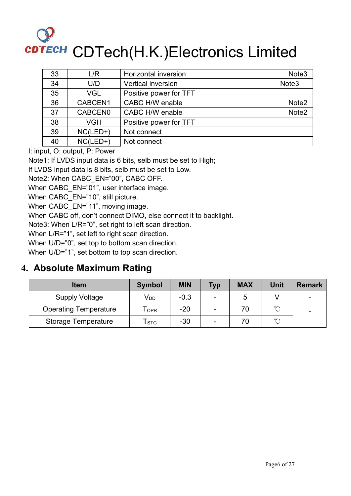<span id="page-5-0"></span>

| 33 | L/R        | Horizontal inversion      | Note <sub>3</sub> |
|----|------------|---------------------------|-------------------|
| 34 | U/D        | <b>Vertical inversion</b> | Note <sub>3</sub> |
| 35 | <b>VGL</b> | Positive power for TFT    |                   |
| 36 | CABCEN1    | CABC H/W enable           | Note <sub>2</sub> |
| 37 | CABCEN0    | CABC H/W enable           | Note <sub>2</sub> |
| 38 | <b>VGH</b> | Positive power for TFT    |                   |
| 39 | $NC(LED+)$ | Not connect               |                   |
| 40 | $NC(LED+)$ | Not connect               |                   |

I: input, O: output, P: Power

Note1: If LVDS input data is 6 bits, selb must be set to High;

If LVDS input data is 8 bits, selb must be set to Low.

Note2: When CABC\_EN="00", CABC OFF.

When CABC\_EN="01", user interface image.

When CABC EN="10", still picture.

When CABC EN="11", moving image.

When CABC off, don't connect DIMO, else connect it to backlight.

Note3: When L/R="0", set right to left scan direction.

When L/R="1", set left to right scan direction.

When U/D="0", set top to bottom scan direction.

When U/D="1", set bottom to top scan direction.

## **4. Absolute Maximum Rating**

| <b>Item</b>                  | <b>Symbol</b>                    | <b>MIN</b> | <b>Typ</b>               | <b>MAX</b> | Unit        | <b>Remark</b>            |
|------------------------------|----------------------------------|------------|--------------------------|------------|-------------|--------------------------|
| <b>Supply Voltage</b>        | V <sub>DD</sub>                  | $-0.3$     | $\overline{\phantom{a}}$ |            |             | $\overline{\phantom{0}}$ |
| <b>Operating Temperature</b> | <b>T</b> <sub>OPR</sub>          | $-20$      | -                        | 70         | $\sim$<br>◡ | -                        |
| Storage Temperature          | $\mathsf{\Gamma}_{\texttt{STG}}$ | $-30$      | $\overline{\phantom{a}}$ | 70         | $\sim$<br>◡ |                          |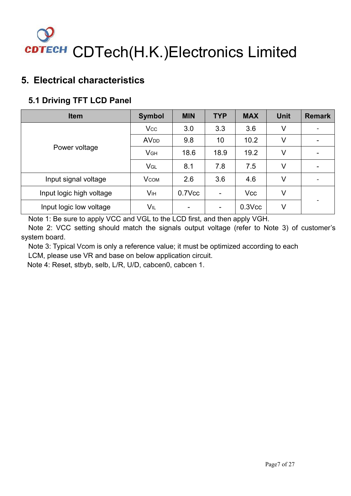## <span id="page-6-0"></span>**5. Electrical characteristics**

## **5.1 Driving TFT LCD Panel**

| <b>Item</b>              | <b>Symbol</b>          | <b>MIN</b>               | <b>TYP</b>     | <b>MAX</b>  | <b>Unit</b> | <b>Remark</b>            |  |
|--------------------------|------------------------|--------------------------|----------------|-------------|-------------|--------------------------|--|
|                          | <b>Vcc</b>             | 3.0                      | 3.3            | 3.6         | V           | $\overline{\phantom{a}}$ |  |
|                          | <b>AV<sub>DD</sub></b> | 9.8                      | 10             | 10.2        | V           |                          |  |
| Power voltage            | <b>VGH</b>             | 18.6                     | 18.9           | 19.2        | V           | $\overline{\phantom{0}}$ |  |
|                          | VGL                    | 8.1                      | 7.8            | 7.5         | V           |                          |  |
| Input signal voltage     | $V_{COM}$              | 2.6                      | 3.6            | 4.6         | V           |                          |  |
| Input logic high voltage | Vıн                    | $0.7$ V $cc$             | $\blacksquare$ | <b>Vcc</b>  | V           |                          |  |
| Input logic low voltage  | VIL                    | $\overline{\phantom{0}}$ | $\blacksquare$ | $0.3$ $Vcc$ | V           |                          |  |

Note 1: Be sure to apply VCC and VGL to the LCD first, and then apply VGH.

Note 2: VCC setting should match the signals output voltage (refer to Note 3) of customer's system board.

Note 3: Typical Vcom is only a reference value; it must be optimized according to each

LCM, please use VR and base on below application circuit.

Note 4: Reset, stbyb, selb, L/R, U/D, cabcen0, cabcen 1.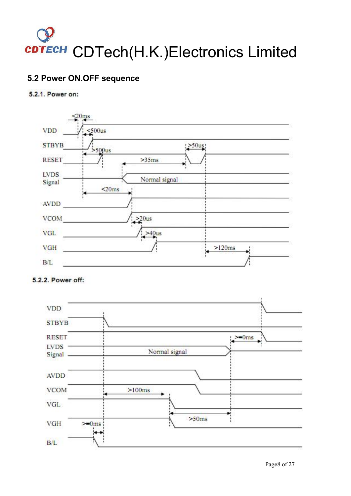## **5.2 Power ON.OFF sequence**

### 5.2.1. Power on:



### 5.2.2. Power off:

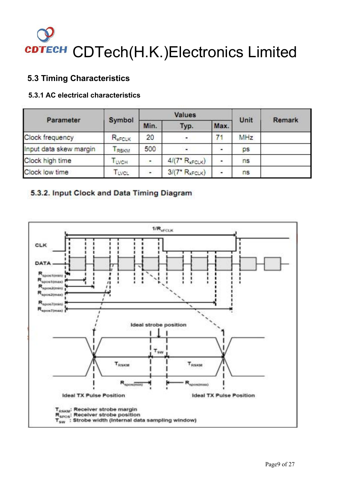### **5.3 Timing Characteristics**

### **5.3.1 AC electrical characteristics**

| Parameter              |             |      | Values            |      |      |               |
|------------------------|-------------|------|-------------------|------|------|---------------|
|                        | Symbol      | Min. | Typ.              | Max. | Unit | <b>Remark</b> |
| Clock frequency        | $R_{xFCLK}$ | 20   | Ξ                 |      | MHz  |               |
| Input data skew margin | <b>RSKM</b> | 500  | $\blacksquare$    | F    | ps   |               |
| Clock high time        | LVCH        | ۰    | $4/(7*R_{xFCLK})$ | ۰    | ns   |               |
| Clock low time         | TLVCL       | ٠    | $3/(7*R_{xFCLK})$ | š    | ns   |               |

### 5.3.2. Input Clock and Data Timing Diagram

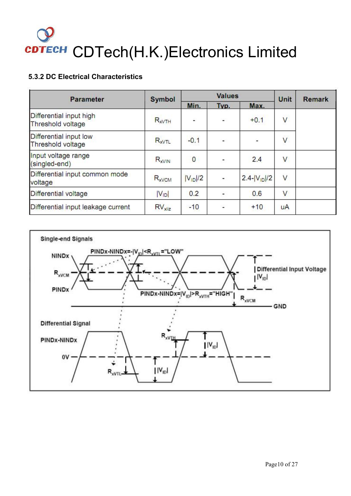### **5.3.2 DC Electrical Characteristics**

| <b>Parameter</b>                             | <b>Symbol</b>     |              | <b>Values</b> | Unit               | <b>Remark</b>           |  |
|----------------------------------------------|-------------------|--------------|---------------|--------------------|-------------------------|--|
|                                              |                   | Min.         | Typ.          | Max.               |                         |  |
| Differential input high<br>Threshold voltage | $R_{xVTH}$        | ÷            | ¥.            | $+0.1$             | ٧                       |  |
| Differential input low<br>Threshold voltage  | R <sub>xVTL</sub> | $-0.1$       |               | Ξ                  | $\overline{\mathsf{v}}$ |  |
| Input voltage range<br>(singled-end)         | $R_{xVIN}$        | $\bf{0}$     | ÷,            | 2.4                | ٧                       |  |
| Differential input common mode<br>voltage    | $R_{xVCM}$        | $ V_{ID} /2$ | ۰             | $2.4 -  V_{1D} /2$ | $\vee$                  |  |
| Differential voltage                         | $ V_{ID} $        | 0.2          |               | 0.6                | V                       |  |
| Differential input leakage current           | $RV_{x1iz}$       | $-10$        | ÷             | $+10$              | uA                      |  |

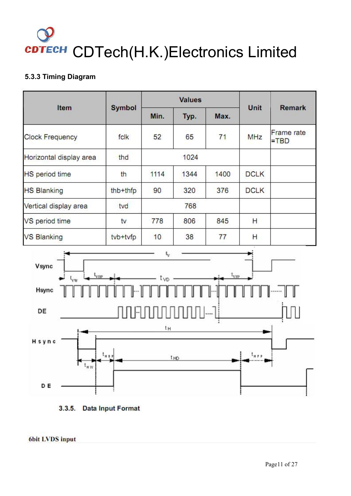### **5.3.3 Timing Diagram**

|                         |               |      | <b>Values</b> | Unit |             |                              |  |
|-------------------------|---------------|------|---------------|------|-------------|------------------------------|--|
| Item                    | <b>Symbol</b> | Min. | Typ.          | Max. |             | <b>Remark</b>                |  |
| <b>Clock Frequency</b>  | fclk          | 52   | 65            | 71   | <b>MHz</b>  | <b>Frame</b> rate<br>$=$ TBD |  |
| Horizontal display area | thd           |      | 1024          |      |             |                              |  |
| <b>HS</b> period time   | th            | 1114 | 1344          | 1400 | <b>DCLK</b> |                              |  |
| <b>HS Blanking</b>      | thb+thfp      | 90   | 320           | 376  | <b>DCLK</b> |                              |  |
| Vertical display area   | tvd           |      | 768           |      |             |                              |  |
| VS period time          | tv            | 778  | 806           | 845  | Н           |                              |  |
| <b>VS Blanking</b>      | tvb+tvfp      | 10   | 38            | 77   | Н           |                              |  |



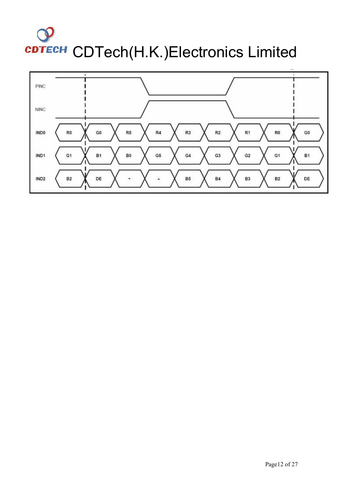

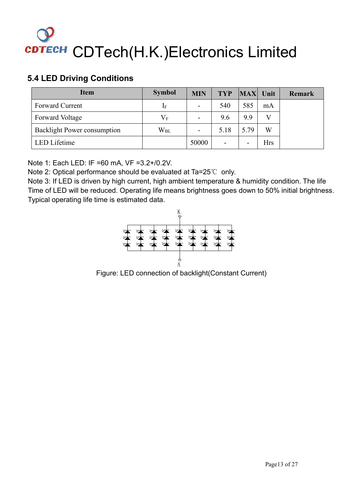## **5.4 LED Driving Conditions**

| <b>Item</b>                        | <b>Symbol</b> | <b>MIN</b> | <b>TYP</b>               | MAX                      | Unit         | Remark |
|------------------------------------|---------------|------------|--------------------------|--------------------------|--------------|--------|
| Forward Current                    | 1F            | ۰.         | 540                      | 585                      | mA           |        |
| Forward Voltage                    | $V_{\rm F}$   | ۰.         | 9.6                      | 9.9                      | $\mathbf{V}$ |        |
| <b>Backlight Power consumption</b> | $W_{BL}$      | ۰.         | 5.18                     | 5.79                     | W            |        |
| LED Lifetime                       |               | 50000      | $\overline{\phantom{0}}$ | $\overline{\phantom{0}}$ | Hrs          |        |

Note 1: Each LED: IF =60 mA, VF =3.2+/0.2V.

Note 2: Optical performance should be evaluated at Ta=25℃ only.

Note 3: If LED is driven by high current, high ambient temperature & humidity condition. The life Time of LED will be reduced. Operating life means brightness goes down to 50% initial brightness. Typical operating life time is estimated data.



Figure: LED connection of backlight(Constant Current)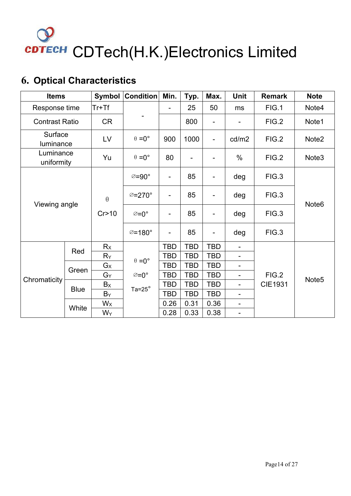

# <span id="page-13-0"></span>**6. Optical Characteristics**

| <b>Items</b>            |             | Symbol    | Condition            | Min.                     | Typ.                     | Max.                     | <b>Unit</b>              | <b>Remark</b>           | <b>Note</b>       |
|-------------------------|-------------|-----------|----------------------|--------------------------|--------------------------|--------------------------|--------------------------|-------------------------|-------------------|
| Response time           |             | $Tr+Tf$   |                      | $\overline{\phantom{0}}$ | 25                       | 50                       | ms                       | FIG.1                   | Note4             |
| <b>Contrast Ratio</b>   |             | <b>CR</b> |                      |                          | 800                      | -                        | $\overline{\phantom{a}}$ | FIG.2                   | Note1             |
| Surface<br>luminance    |             | LV        | $\theta = 0^{\circ}$ | 900                      | 1000                     | $\qquad \qquad -$        | cd/m2                    | FIG.2                   | Note2             |
| Luminance<br>uniformity |             | Yu        | $\theta = 0^{\circ}$ | 80                       | $\overline{\phantom{a}}$ |                          | $\%$                     | FIG.2                   | Note <sub>3</sub> |
|                         |             |           | ⊘=90°                | $\qquad \qquad -$        | 85                       | $\overline{\phantom{a}}$ | deg                      | FIG.3                   |                   |
|                         |             | $\theta$  | ⊘=270°               | $\overline{\phantom{a}}$ | 85                       | $\overline{\phantom{a}}$ | deg                      | FIG.3                   | Note <sub>6</sub> |
| Viewing angle           |             | Cr > 10   | ⊘=0°                 | $\overline{\phantom{a}}$ | 85                       | $\qquad \qquad -$        | deg                      | FIG.3                   |                   |
|                         |             |           | $\varnothing$ =180°  | -                        | 85                       | -                        | deg                      | FIG.3                   |                   |
|                         | Red         | Rx        |                      | <b>TBD</b>               | <b>TBD</b>               | <b>TBD</b>               | $\overline{\phantom{a}}$ |                         |                   |
|                         |             | $R_Y$     | $\theta = 0^{\circ}$ | <b>TBD</b>               | <b>TBD</b>               | <b>TBD</b>               | $\blacksquare$           |                         |                   |
|                         |             | $G_X$     |                      | <b>TBD</b>               | <b>TBD</b>               | <b>TBD</b>               | $\blacksquare$           |                         |                   |
| Chromaticity            | Green       | $G_Y$     | ⊘=0°                 | <b>TBD</b>               | <b>TBD</b>               | <b>TBD</b>               | $\blacksquare$           | FIG.2<br><b>CIE1931</b> | Note <sub>5</sub> |
|                         | <b>Blue</b> | $B_X$     | Ta= $25^\circ$       | <b>TBD</b>               | <b>TBD</b>               | <b>TBD</b>               | $\overline{\phantom{a}}$ |                         |                   |
|                         |             | $B_Y$     |                      | <b>TBD</b>               | <b>TBD</b>               | <b>TBD</b>               | $\blacksquare$           |                         |                   |
|                         | White       | $W_{X}$   |                      | 0.26                     | 0.31                     | 0.36                     | $\blacksquare$           |                         |                   |
|                         |             | Wy        |                      | 0.28                     | 0.33                     | 0.38                     | $\overline{\phantom{a}}$ |                         |                   |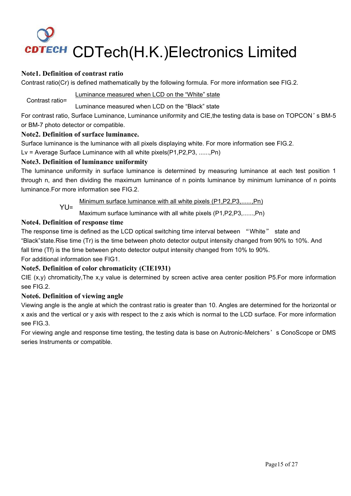### **Note1. Definition of contrast ratio**

Contrast ratio(Cr) is defined mathematically by the following formula. For more information see FIG.2.

Contrast ratio= Luminance measured when LCD on the "White" state

Luminance measured when LCD on the "Black" state

For contrast ratio, Surface Luminance, Luminance uniformity and CIE,the testing data is base on TOPCON's BM-5 or BM-7 photo detector or compatible.

### **Note2. Definition of surface luminance.**

Surface luminance is the luminance with all pixels displaying white. For more information see FIG.2.

Lv = Average Surface Luminance with all white pixels(P1,P2,P3, ......,Pn)

### **Note3. Definition of luminance uniformity**

The luminance uniformity in surface luminance is determined by measuring luminance at each test position 1 through n, and then dividing the maximum luminance of n points luminance by minimum luminance of n points luminance.For more information see FIG.2.

YUE Minimum surface luminance with all white pixels (P1,P2,P3,......,Pn)

Maximum surface luminance with all white pixels (P1,P2,P3,......,Pn)

### **Note4. Definition of response time**

The response time is defined as the LCD optical switching time interval between "White" state and "Black"state.Rise time (Tr) is the time between photo detector output intensity changed from 90% to 10%. And fall time (Tf) is the time between photo detector output intensity changed from 10% to 90%.

For additional information see FIG1.

### **Note5. Definition of color chromaticity (CIE1931)**

CIE  $(x,y)$  chromaticity, The  $x,y$  value is determined by screen active area center position P5. For more information see FIG.2.

### **Note6. Definition of viewing angle**

Viewing angle is the angle at which the contrast ratio is greater than 10. Angles are determined for the horizontal or x axis and the vertical or y axis with respect to the z axis which is normal to the LCD surface. For more information see FIG.3.

For viewing angle and response time testing, the testing data is base on Autronic-Melchers's ConoScope or DMS series Instruments or compatible.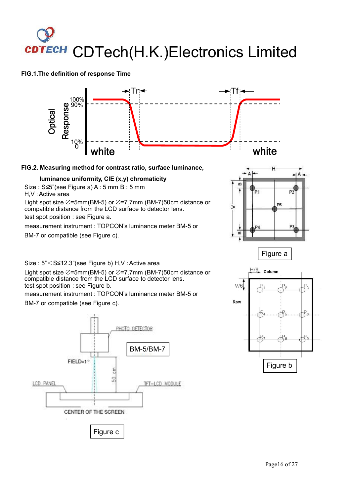# CDTech(H.K.)Electronics Limited **CDTECH**

### **FIG.1.The definition of response Time**



### **FIG.2. Measuring method for contrast ratio, surface luminance,**

### **luminance uniformity, CIE (x,y) chromaticity**

Size : S≤5"(see Figure a) A : 5 mm B : 5 mm

H,V :Active area

Light spot size  $Ø=5mm(BM-5)$  or  $Ø=7.7mm$  (BM-7)50cm distance or compatible distance from the LCD surface to detector lens.

test spot position : see Figure a.

measurement instrument : TOPCON's luminance meter BM-5 or

BM-7 or compatible (see Figure c).

Size : 5"<S≤12.3"(see Figure b) H,V :Active area

Light spot size  $\oslash$ =5mm(BM-5) or  $\oslash$ =7.7mm (BM-7)50cm distance or  $\frac{H/6}{4}$  column compatible distance from the LCD surface to detector lens. test spot position : see Figure b.

measurement instrument : TOPCON's luminance meter BM-5 or

BM-7 or compatible (see Figure c).







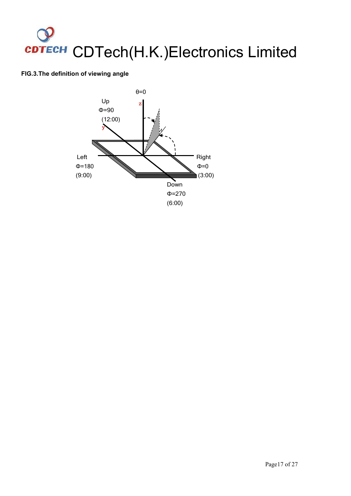### **FIG.3.The definition of viewing angle**

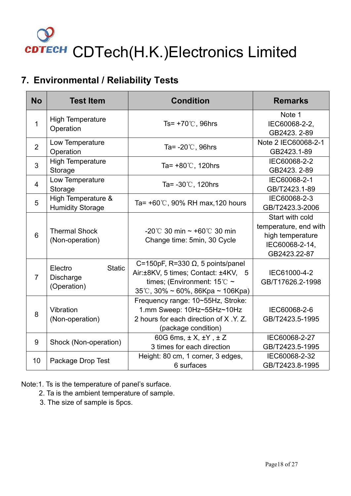## <span id="page-17-0"></span>**7. Environmental / Reliability Tests**

| <b>No</b>      | <b>Test Item</b>                                     | <b>Condition</b>                                                                                                                                                               | <b>Remarks</b>                                                                                 |
|----------------|------------------------------------------------------|--------------------------------------------------------------------------------------------------------------------------------------------------------------------------------|------------------------------------------------------------------------------------------------|
| $\mathbf{1}$   | <b>High Temperature</b><br>Operation                 | Ts= $+70^{\circ}$ C, 96hrs                                                                                                                                                     | Note 1<br>IEC60068-2-2,<br>GB2423. 2-89                                                        |
| $\overline{2}$ | Low Temperature<br>Operation                         | Ta= $-20^{\circ}$ C, 96hrs                                                                                                                                                     | Note 2 IEC60068-2-1<br>GB2423.1-89                                                             |
| 3              | <b>High Temperature</b><br>Storage                   | Ta= $+80^{\circ}$ C, 120hrs                                                                                                                                                    | IEC60068-2-2<br>GB2423. 2-89                                                                   |
| $\overline{4}$ | Low Temperature<br>Storage                           | Ta= $-30^{\circ}$ C, 120hrs                                                                                                                                                    | IEC60068-2-1<br>GB/T2423.1-89                                                                  |
| 5              | High Temperature &<br><b>Humidity Storage</b>        | Ta= $+60^{\circ}$ C, 90% RH max, 120 hours                                                                                                                                     | IEC60068-2-3<br>GB/T2423.3-2006                                                                |
| 6              | <b>Thermal Shock</b><br>(Non-operation)              | -20°C 30 min $\sim$ +60°C 30 min<br>Change time: 5min, 30 Cycle                                                                                                                | Start with cold<br>temperature, end with<br>high temperature<br>IEC60068-2-14,<br>GB2423.22-87 |
| $\overline{7}$ | <b>Static</b><br>Electro<br>Discharge<br>(Operation) | C=150pF, R=330 $\Omega$ , 5 points/panel<br>Air:±8KV, 5 times; Contact: ±4KV, 5<br>times; (Environment: $15^{\circ}$ C ~<br>$35^{\circ}$ C, $30\% \sim 60\%$ , 86Kpa ~ 106Kpa) | IEC61000-4-2<br>GB/T17626.2-1998                                                               |
| 8              | Vibration<br>(Non-operation)                         | Frequency range: 10~55Hz, Stroke:<br>1.mm Sweep: 10Hz~55Hz~10Hz<br>2 hours for each direction of X.Y.Z.<br>(package condition)                                                 | IEC60068-2-6<br>GB/T2423.5-1995                                                                |
| 9              | Shock (Non-operation)                                | 60G 6ms, $\pm$ X, $\pm$ Y, $\pm$ Z<br>3 times for each direction                                                                                                               | IEC60068-2-27<br>GB/T2423.5-1995                                                               |
| 10             | Package Drop Test                                    | Height: 80 cm, 1 corner, 3 edges,<br>6 surfaces                                                                                                                                | IEC60068-2-32<br>GB/T2423.8-1995                                                               |

Note:1. Ts is the temperature of panel's surface.

- 2. Ta is the ambient temperature of sample.
- 3. The size of sample is 5pcs.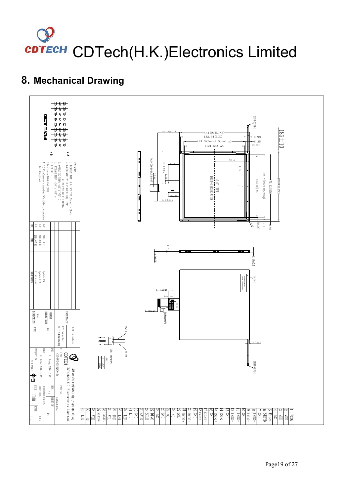# <span id="page-18-0"></span>**8. Mechanical Drawing**

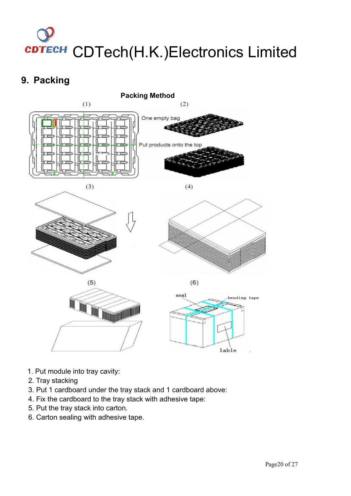## <span id="page-19-0"></span>**9. Packing**



- 1. Put module into tray cavity:
- 2. Tray stacking
- 3. Put 1 cardboard under the tray stack and 1 cardboard above:
- 4. Fix the cardboard to the tray stack with adhesive tape:
- 5. Put the tray stack into carton.
- 6. Carton sealing with adhesive tape.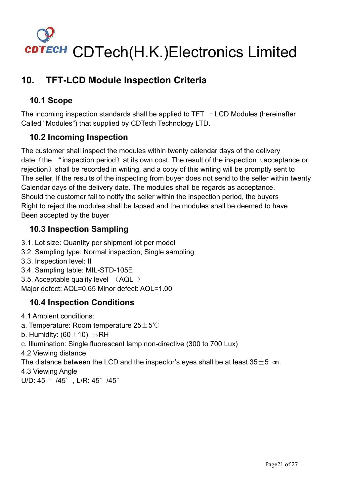# <span id="page-20-0"></span>**10. TFT-LCD Module Inspection Criteria**

## **10.1 Scope**

The incoming inspection standards shall be applied to  $TFT$  - LCD Modules (hereinafter Called "Modules") that supplied by CDTech Technology LTD.

## **10.2 Incoming Inspection**

The customer shall inspect the modules within twenty calendar days of the delivery date (the "inspection period) at its own cost. The result of the inspection (acceptance or rejection) shall be recorded in writing, and a copy of this writing will be promptly sent to The seller, If the results of the inspecting from buyer does not send to the seller within twenty Calendar days of the delivery date. The modules shall be regards as acceptance. Should the customer fail to notify the seller within the inspection period, the buyers Right to reject the modules shall be lapsed and the modules shall be deemed to have Been accepted by the buyer

## **10.3 Inspection Sampling**

- 3.1. Lot size: Quantity per shipment lot per model
- 3.2. Sampling type: Normal inspection, Single sampling
- 3.3. Inspection level: II
- 3.4. Sampling table: MIL-STD-105E
- 3.5. Acceptable quality level (AQL )
- Major defect: AQL=0.65 Minor defect: AQL=1.00

## **10.4 Inspection Conditions**

- 4.1 Ambient conditions:
- a. Temperature: Room temperature  $25±5^{\circ}$
- b. Humidity:  $(60 \pm 10)$  %RH
- c. Illumination: Single fluorescent lamp non-directive (300 to 700 Lux)
- 4.2 Viewing distance

The distance between the LCD and the inspector's eyes shall be at least  $35\pm5$  cm.

4.3 Viewing Angle

U/D: 45 ° /45°, L/R: 45° /45°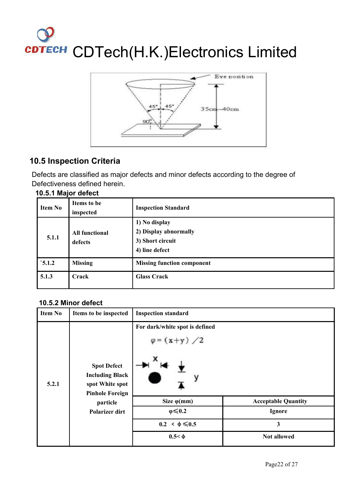

### **10.5 Inspection Criteria**

Defects are classified as major defects and minor defects according to the degree of Defectiveness defined herein.

| 10.5.1 Major defect |  |
|---------------------|--|
|---------------------|--|

| <b>Item No</b> | Items to be<br>inspected         | <b>Inspection Standard</b>                                                   |
|----------------|----------------------------------|------------------------------------------------------------------------------|
| 5.1.1          | <b>All functional</b><br>defects | 1) No display<br>2) Display abnormally<br>3) Short circuit<br>4) line defect |
| $\dot{5}$ .1.2 | <b>Missing</b>                   | <b>Missing function component</b>                                            |
| 5.1.3          | Crack                            | <b>Glass Crack</b>                                                           |

### **10.5.2 Minor defect**

| <b>Item No</b><br>Items to be inspected                                                            | <b>Inspection standard</b>                            |                            |  |
|----------------------------------------------------------------------------------------------------|-------------------------------------------------------|----------------------------|--|
| <b>Spot Defect</b><br><b>Including Black</b><br>5.2.1<br>spot White spot<br><b>Pinhole Foreign</b> | For dark/white spot is defined<br>$\varphi = (x+y)/2$ |                            |  |
| particle                                                                                           | Size $\varphi$ (mm)                                   | <b>Acceptable Quantity</b> |  |
| <b>Polarizer dirt</b>                                                                              | $\varphi \leq 0.2$                                    | Ignore                     |  |
|                                                                                                    | $0.2 < \phi \leq 0.5$                                 | 3                          |  |
|                                                                                                    | $0.5 < \Phi$                                          | <b>Not allowed</b>         |  |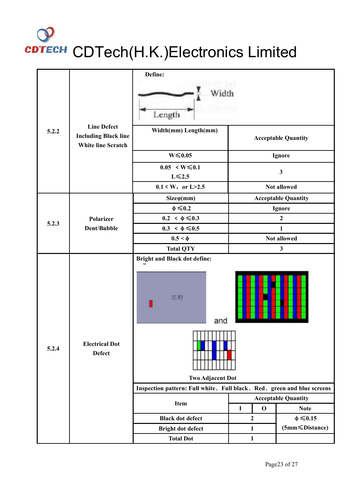|                             |                                                   | Define:                                                                                            |                            |                            |  |  |  |
|-----------------------------|---------------------------------------------------|----------------------------------------------------------------------------------------------------|----------------------------|----------------------------|--|--|--|
|                             |                                                   | Width<br>Length                                                                                    |                            |                            |  |  |  |
| <b>Line Defect</b><br>5.2.2 | <b>Including Black line</b><br>White line Scratch | Width(mm) Length(mm)                                                                               | <b>Acceptable Quantity</b> |                            |  |  |  |
|                             |                                                   | $W \le 0.05$                                                                                       |                            | <b>Ignore</b>              |  |  |  |
|                             |                                                   | $0.05 \le W \le 0.1$<br>$L \le 2.5$                                                                |                            | $\mathbf{3}$               |  |  |  |
|                             |                                                   | $0.1 < W$ , or L>2.5                                                                               |                            | <b>Not allowed</b>         |  |  |  |
|                             |                                                   | $Size\varphi(mm)$                                                                                  |                            | <b>Acceptable Quantity</b> |  |  |  |
|                             |                                                   | $\phi \leq 0.2$                                                                                    |                            | <b>Ignore</b>              |  |  |  |
| 5.2.3                       | <b>Polarizer</b>                                  | $0.2 < \phi \leq 0.3$                                                                              | $\overline{2}$             |                            |  |  |  |
|                             | Dent/Bubble                                       | $0.3 < \phi \leq 0.5$                                                                              | $\mathbf{1}$               |                            |  |  |  |
|                             |                                                   | $0.5 < \Phi$                                                                                       | Not allowed                |                            |  |  |  |
|                             |                                                   | <b>Total QTY</b><br><b>Bright and Black dot define:</b>                                            |                            | $\mathbf{3}$               |  |  |  |
|                             |                                                   | 亮點<br>and                                                                                          |                            |                            |  |  |  |
| 5.2.4                       | <b>Electrical Dot</b><br><b>Defect</b>            |                                                                                                    |                            |                            |  |  |  |
|                             |                                                   | <b>Two Adjacent Dot</b><br>Inspection pattern: Full white. Full black. Red. green and blue screens |                            |                            |  |  |  |
|                             |                                                   |                                                                                                    |                            | <b>Acceptable Quantity</b> |  |  |  |
|                             |                                                   | Item                                                                                               | $\mathbf 0$<br>$\mathbf I$ | <b>Note</b>                |  |  |  |
|                             |                                                   | <b>Black dot defect</b>                                                                            | $\mathbf{2}$               | $\phi \leq 0.15$           |  |  |  |
|                             |                                                   | Bright dot defect                                                                                  | $\mathbf{1}$               | (5mm≤Distance)             |  |  |  |
|                             |                                                   | <b>Total Dot</b>                                                                                   | $\mathbf{1}$               |                            |  |  |  |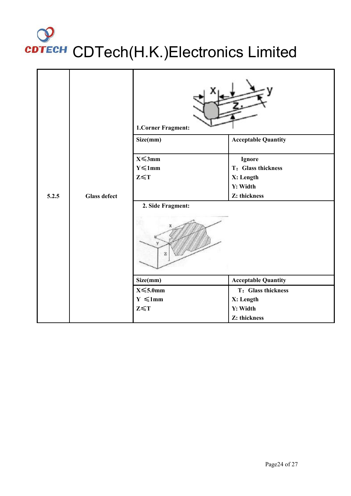|       |                     | 1.Corner Fragment:            |                              |
|-------|---------------------|-------------------------------|------------------------------|
|       |                     | Size(mm)                      | <b>Acceptable Quantity</b>   |
|       |                     | $X \leq 3$ mm<br>$Y \le 1$ mm | Ignore<br>T: Glass thickness |
|       |                     | $Z \leq T$                    | X: Length                    |
|       |                     |                               | Y: Width                     |
| 5.2.5 | <b>Glass defect</b> |                               | Z: thickness                 |
|       |                     | 2. Side Fragment:             |                              |
|       |                     | Size(mm)                      | <b>Acceptable Quantity</b>   |
|       |                     | $X \leqslant 5.0$ mm          | T: Glass thickness           |
|       |                     | $Y \le 1$ mm                  | X: Length                    |
|       |                     | $Z \leq T$                    | Y: Width                     |
|       |                     |                               | Z: thickness                 |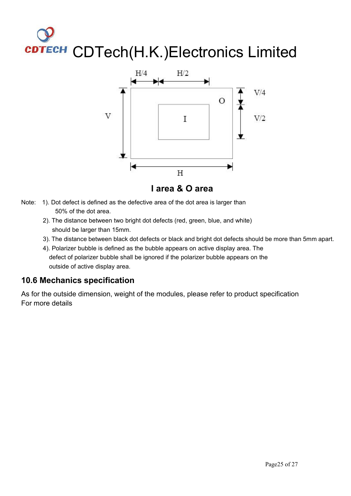

- Note: 1). Dot defect is defined as the defective area of the dot area is larger than 50% of the dot area.
	- 2). The distance between two bright dot defects (red, green, blue, and white) should be larger than 15mm.
	- 3). The distance between black dot defects or black and bright dot defects should be more than 5mm apart.<br>4). Polarizer bubble is defined as the bubble appears on active display area. The
	- defect of polarizer bubble shall be ignored if the polarizer bubble appears on the outside of active display area.

### **10.6 Mechanics specification**

As for the outside dimension, weight of the modules, please refer to product specification For more details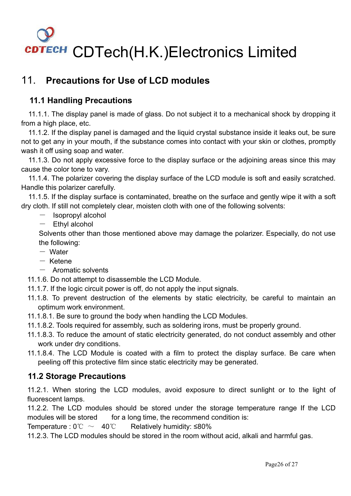## <span id="page-25-0"></span>11. **Precautions for Use of LCD modules**

## **11.1 Handling Precautions**

11.1.1. The display panel is made of glass. Do not subject it to a mechanical shock by dropping it from a high place, etc.

11.1.2. If the display panel is damaged and the liquid crystal substance inside it leaks out, be sure not to get any in your mouth, if the substance comes into contact with your skin or clothes, promptly wash it off using soap and water.

11.1.3. Do not apply excessive force to the display surface or the adjoining areas since this may cause the color tone to vary.

11.1.4. The polarizer covering the display surface of the LCD module is soft and easily scratched. Handle this polarizer carefully.

11.1.5. If the display surface is contaminated, breathe on the surface and gently wipe it with a soft dry cloth. If still not completely clear, moisten cloth with one of the following solvents:

- Isopropyl alcohol
- Ethyl alcohol

Solvents other than those mentioned above may damage the polarizer. Especially, do not use the following:

- $-$  Water
- $-$  Ketene
- $-$  Aromatic solvents

11.1.6. Do not attempt to disassemble the LCD Module.

- 11.1.7. If the logic circuit power is off, do not apply the input signals.
- 11.1.8. To prevent destruction of the elements by static electricity, be careful to maintain an optimum work environment.
- 11.1.8.1. Be sure to ground the body when handling the LCD Modules.
- 11.1.8.2. Tools required for assembly, such as soldering irons, must be properly ground.
- 11.1.8.3. To reduce the amount of static electricity generated, do not conduct assembly and other work under dry conditions.
- 11.1.8.4. The LCD Module is coated with a film to protect the display surface. Be care when peeling off this protective film since static electricity may be generated.

### **11.2 Storage Precautions**

11.2.1. When storing the LCD modules, avoid exposure to direct sunlight or to the light of fluorescent lamps.

11.2.2. The LCD modules should be stored under the storage temperature range If the LCD modules will be stored for a long time, the recommend condition is:

Temperature :  $0^{\circ}\text{C}$   $\sim$  40°C Relatively humidity: ≤80%

11.2.3. The LCD modules should be stored in the room without acid, alkali and harmful gas.